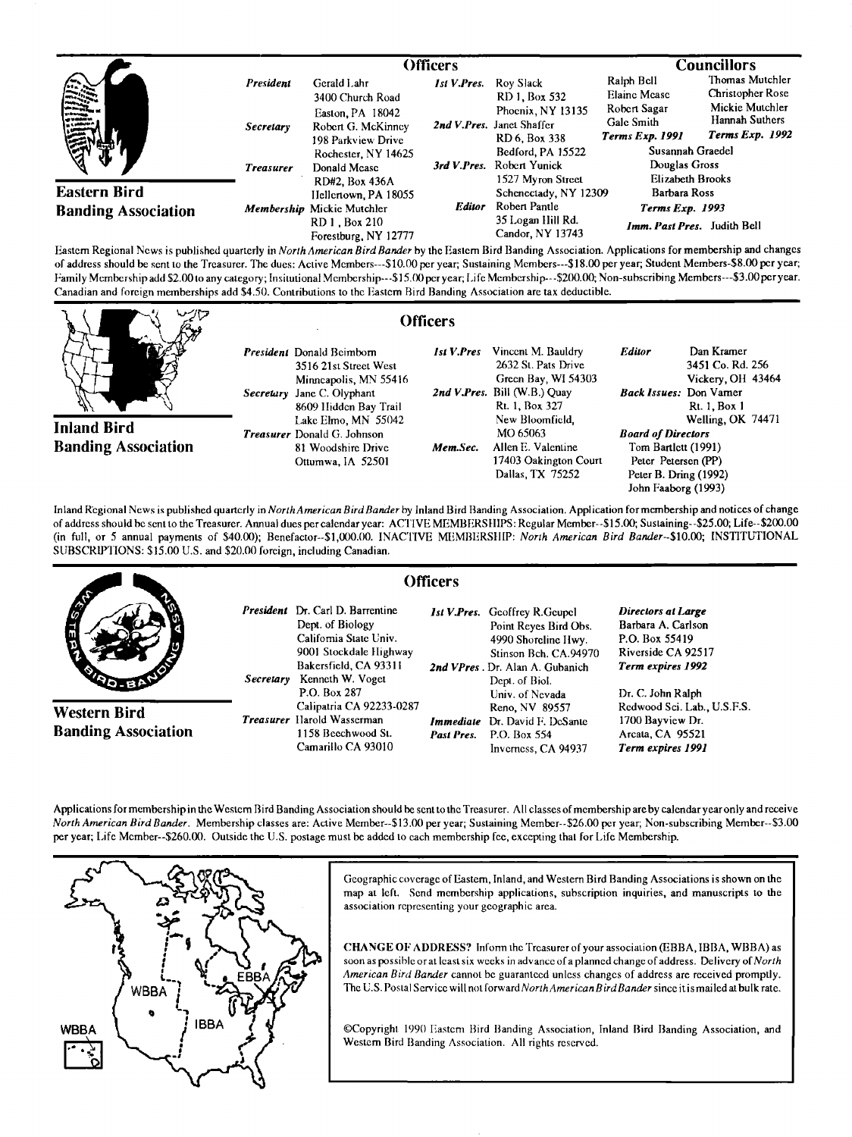|                                                      |                               | Officers                                                                                        |               |                                                                                               | <b>Councillors</b>                                                                        |                                                                                                    |
|------------------------------------------------------|-------------------------------|-------------------------------------------------------------------------------------------------|---------------|-----------------------------------------------------------------------------------------------|-------------------------------------------------------------------------------------------|----------------------------------------------------------------------------------------------------|
| <b>WASHING</b><br>نا الأشكال في<br><b>COMMERCIAL</b> | President<br><b>Secretary</b> | Gerald Lahr<br>3400 Church Road<br>Easton, PA 18042<br>Robert G. McKinney<br>198 Parkview Drive | Ist V.Pres.   | Roy Slack<br>RD 1, Box 532<br>Phoenix, NY 13135<br>2nd V.Pres. Janet Shaffer<br>RD 6, Box 338 | Ralph Bell<br><b>Elaine Mease</b><br>Robert Sagar<br>Galc Smith<br><b>Terms Exp. 1991</b> | Thomas Mutchler<br><b>Christopher Rose</b><br>Mickie Mutchler<br>Hannah Suthers<br>Terms Exp. 1992 |
|                                                      | <b>Treasurer</b>              | Rochester, NY 14625<br>Donald Mease                                                             |               | Bedford, PA 15522<br>Robert Yunick<br>1527 Myron Street                                       | Susannah Graedel<br>Douglas Gross<br>Elizabeth Brooks                                     |                                                                                                    |
| <b>Eastern Bird</b><br><b>Banding Association</b>    |                               | <b>RD#2. Box 436A</b><br>Hellertown, PA 18055<br>Membership Mickie Mutchler                     | <b>Editor</b> | Schenectady, NY 12309<br>Robert Pantle                                                        | Barbara Ross<br>Terms Exp. 1993                                                           |                                                                                                    |
|                                                      |                               | RD 1, Box 210<br>Forestburg, NY 12777                                                           |               | 35 Logan Hill Rd.<br>Candor, NY 13743                                                         | Imm. Past Pres. Judith Bell                                                               |                                                                                                    |

**lbstern Regional News is published quarterly in North American Bird Bander by the Easlem Bird Banding Association. Applications for membership and changes**  of address should be sent to the Treasurer. The dues: Active Members---\$10.00 per year; Sustaining Members---\$18.00 per year; Student Members-\$8.00 per year; Family Membership add \$2.00 to any category; Insitutional Membership---\$15.00 per year; Life Membership---\$200.00; Non-subscribing Members---\$3.00 per year. **Canadian and foreign memberships add \$4.50. Contributions to the Eastern Bird Banding Association are tax deductible.** 

**Inland Bird Banding Association**  President Donald Beimborn **3516 21st Street West Minneapolis, MN 55416 Secretary Jane C. OIyphant 8609 1Iidden Bay Trail l,ake Elmo, MN 55042 Treasurer Donald G. Johnson 81 Woodshire Drive Ottumwa, IA 52501** 

|    | <b>Officers</b> |                                      |       |
|----|-----------------|--------------------------------------|-------|
|    |                 | <b>Ist V.Pres</b> Vincent M. Bauldry | Edite |
|    |                 | 2632 St. Pats Drive                  |       |
| 16 |                 | Green Bay, WI 54303                  |       |
|    |                 | 2nd V.Pres. Bill (W.B.) Quay         | Back  |
| l  |                 | Rt. 1, Box 327                       |       |
| 2  |                 | New Bloomfield,                      |       |
|    |                 | MO 65063                             | Boar  |
|    | Mem.Sec.        | Allen E. Valentine                   | Tor   |
|    |                 | 17403 Oakington Court                | Pei   |
|    |                 | Dallas, TX 75252                     | Pet   |
|    |                 |                                      |       |

Dan Kramer **3451 Co. Rd. 256 Vickery, Ott 43464 Issues:** Don Vamer **Rt. 1, Box 1 Welling, OK 74471 Board of Directors Tom Bartlett (1991) Peter Petersen (PP) Peter B. Dring (1992) John Faaborg (1993)** 

**Inland Regional News is published quarterly in NorthAmerican Bird Bander by Inland Bird Banding Association. Application for membership and notices of change of address should be sent to the Treasurer. Annual dues per calendar year: ACTIVE MEMBERStlIPS: Regular Member--\$15.00; Sustaining--S25.00; Life--S200.00**  (in full, or 5 annual payments of \$40.00); Benefactor--\$1,000.00. INACTIVE MEMBERSHIP: North American Bird Bander--\$10.00; INSTITUTIONAL SUBSCRIPTIONS: \$15.00 U.S. and \$20.00 foreign, including Canadian.



**Applications for membershipn the Western Bird Banding Association should be sento the Treasurer. All classes of membership are by calendar year only and receive North American Bird Bander. Membership classes are: Active Mmnber--\$13.00 per year; Sustaining Member--S26.00 per year; Non-subscribing Member--S3.00 per year; Life Member--S260.00. Outside the U.S. postage must be added to each membership fee, excepting that for Life Membership.** 



Geographic coverage of Eastern, Inland, and Western Bird Banding Associations is shown on the **map at left. Send membership applications, subscription inquiries, and manuscripts to the association representing your geographic area.** 

**CHANGE OF ADDRESS? Inform the Treasurer of your association (EBBA, IBBA, WBBA) as soon as possible orat least six weeks in advance of a planned change of address. Delivery of North**  American Bird Bander cannot be guaranteed unless changes of address are received promptly. The U.S. Postal Service will not forward North American Bird Bander since it is mailed at bulk rate.

©Copyright 1990 Eastern Bird Banding Association, Inland Bird Banding Association, and **Western Bird Banding Association. All rights reserved.**